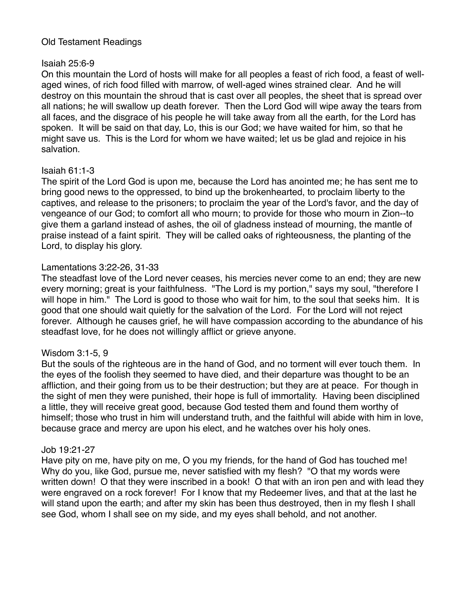# Old Testament Readings

# Isaiah 25:6-9

On this mountain the Lord of hosts will make for all peoples a feast of rich food, a feast of wellaged wines, of rich food filled with marrow, of well-aged wines strained clear. And he will destroy on this mountain the shroud that is cast over all peoples, the sheet that is spread over all nations; he will swallow up death forever. Then the Lord God will wipe away the tears from all faces, and the disgrace of his people he will take away from all the earth, for the Lord has spoken. It will be said on that day, Lo, this is our God; we have waited for him, so that he might save us. This is the Lord for whom we have waited; let us be glad and rejoice in his salvation.

# Isaiah 61:1-3

The spirit of the Lord God is upon me, because the Lord has anointed me; he has sent me to bring good news to the oppressed, to bind up the brokenhearted, to proclaim liberty to the captives, and release to the prisoners; to proclaim the year of the Lord's favor, and the day of vengeance of our God; to comfort all who mourn; to provide for those who mourn in Zion--to give them a garland instead of ashes, the oil of gladness instead of mourning, the mantle of praise instead of a faint spirit. They will be called oaks of righteousness, the planting of the Lord, to display his glory.

# Lamentations 3:22-26, 31-33

The steadfast love of the Lord never ceases, his mercies never come to an end; they are new every morning; great is your faithfulness. "The Lord is my portion," says my soul, "therefore I will hope in him." The Lord is good to those who wait for him, to the soul that seeks him. It is good that one should wait quietly for the salvation of the Lord. For the Lord will not reject forever. Although he causes grief, he will have compassion according to the abundance of his steadfast love, for he does not willingly afflict or grieve anyone.

### Wisdom 3:1-5, 9

But the souls of the righteous are in the hand of God, and no torment will ever touch them. In the eyes of the foolish they seemed to have died, and their departure was thought to be an affliction, and their going from us to be their destruction; but they are at peace. For though in the sight of men they were punished, their hope is full of immortality. Having been disciplined a little, they will receive great good, because God tested them and found them worthy of himself; those who trust in him will understand truth, and the faithful will abide with him in love, because grace and mercy are upon his elect, and he watches over his holy ones.

### Job 19:21-27

Have pity on me, have pity on me, O you my friends, for the hand of God has touched me! Why do you, like God, pursue me, never satisfied with my flesh? "O that my words were written down! O that they were inscribed in a book! O that with an iron pen and with lead they were engraved on a rock forever! For I know that my Redeemer lives, and that at the last he will stand upon the earth; and after my skin has been thus destroyed, then in my flesh I shall see God, whom I shall see on my side, and my eyes shall behold, and not another.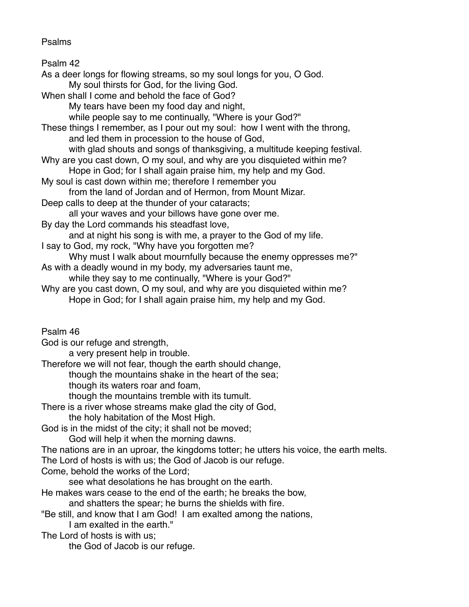# Psalms

Psalm 42 As a deer longs for flowing streams, so my soul longs for you, O God. My soul thirsts for God, for the living God. When shall I come and behold the face of God? My tears have been my food day and night, while people say to me continually, "Where is your God?" These things I remember, as I pour out my soul: how I went with the throng, and led them in procession to the house of God, with glad shouts and songs of thanksgiving, a multitude keeping festival. Why are you cast down, O my soul, and why are you disquieted within me? Hope in God; for I shall again praise him, my help and my God. My soul is cast down within me; therefore I remember you from the land of Jordan and of Hermon, from Mount Mizar. Deep calls to deep at the thunder of your cataracts; all your waves and your billows have gone over me. By day the Lord commands his steadfast love, and at night his song is with me, a prayer to the God of my life. I say to God, my rock, "Why have you forgotten me? Why must I walk about mournfully because the enemy oppresses me?" As with a deadly wound in my body, my adversaries taunt me, while they say to me continually, "Where is your God?" Why are you cast down, O my soul, and why are you disquieted within me? Hope in God; for I shall again praise him, my help and my God. Psalm 46 God is our refuge and strength, a very present help in trouble. Therefore we will not fear, though the earth should change, though the mountains shake in the heart of the sea; though its waters roar and foam, though the mountains tremble with its tumult. There is a river whose streams make glad the city of God, the holy habitation of the Most High. God is in the midst of the city; it shall not be moved; God will help it when the morning dawns. The nations are in an uproar, the kingdoms totter; he utters his voice, the earth melts. The Lord of hosts is with us; the God of Jacob is our refuge. Come, behold the works of the Lord; see what desolations he has brought on the earth. He makes wars cease to the end of the earth; he breaks the bow, and shatters the spear; he burns the shields with fire. "Be still, and know that I am God! I am exalted among the nations,

I am exalted in the earth."

The Lord of hosts is with us;

the God of Jacob is our refuge.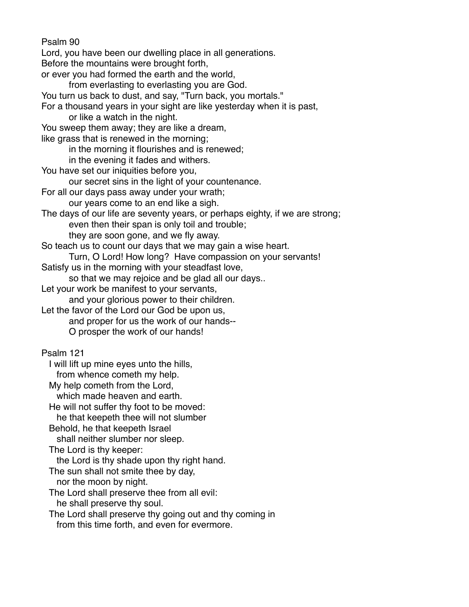Psalm 90 Lord, you have been our dwelling place in all generations. Before the mountains were brought forth, or ever you had formed the earth and the world, from everlasting to everlasting you are God. You turn us back to dust, and say, "Turn back, you mortals." For a thousand years in your sight are like yesterday when it is past, or like a watch in the night. You sweep them away; they are like a dream, like grass that is renewed in the morning; in the morning it flourishes and is renewed; in the evening it fades and withers. You have set our iniquities before you, our secret sins in the light of your countenance. For all our days pass away under your wrath; our years come to an end like a sigh. The days of our life are seventy years, or perhaps eighty, if we are strong; even then their span is only toil and trouble; they are soon gone, and we fly away. So teach us to count our days that we may gain a wise heart. Turn, O Lord! How long? Have compassion on your servants! Satisfy us in the morning with your steadfast love, so that we may rejoice and be glad all our days.. Let your work be manifest to your servants, and your glorious power to their children. Let the favor of the Lord our God be upon us, and proper for us the work of our hands-- O prosper the work of our hands! Psalm 121 I will lift up mine eyes unto the hills, from whence cometh my help. My help cometh from the Lord, which made heaven and earth. He will not suffer thy foot to be moved: he that keepeth thee will not slumber Behold, he that keepeth Israel shall neither slumber nor sleep. The Lord is thy keeper: the Lord is thy shade upon thy right hand. The sun shall not smite thee by day, nor the moon by night. The Lord shall preserve thee from all evil: he shall preserve thy soul. The Lord shall preserve thy going out and thy coming in from this time forth, and even for evermore.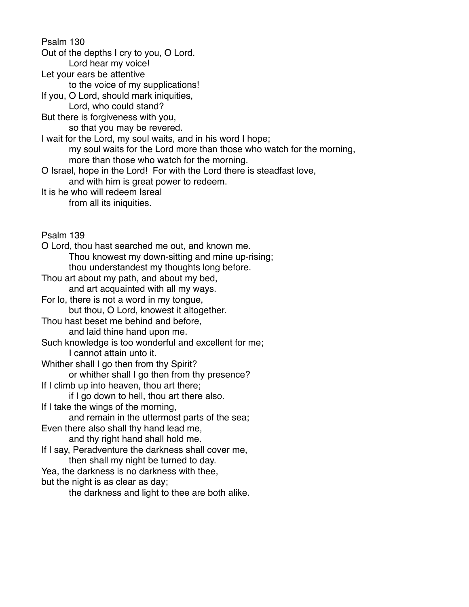Psalm 130

Out of the depths I cry to you, O Lord.

Lord hear my voice!

Let your ears be attentive

to the voice of my supplications!

If you, O Lord, should mark iniquities,

Lord, who could stand?

But there is forgiveness with you,

so that you may be revered.

I wait for the Lord, my soul waits, and in his word I hope; my soul waits for the Lord more than those who watch for the morning, more than those who watch for the morning.

O Israel, hope in the Lord! For with the Lord there is steadfast love,

and with him is great power to redeem.

It is he who will redeem Isreal

from all its iniquities.

Psalm 139

O Lord, thou hast searched me out, and known me. Thou knowest my down-sitting and mine up-rising; thou understandest my thoughts long before. Thou art about my path, and about my bed, and art acquainted with all my ways. For lo, there is not a word in my tongue, but thou, O Lord, knowest it altogether. Thou hast beset me behind and before, and laid thine hand upon me. Such knowledge is too wonderful and excellent for me; I cannot attain unto it. Whither shall I go then from thy Spirit? or whither shall I go then from thy presence? If I climb up into heaven, thou art there; if I go down to hell, thou art there also. If I take the wings of the morning, and remain in the uttermost parts of the sea; Even there also shall thy hand lead me, and thy right hand shall hold me. If I say, Peradventure the darkness shall cover me, then shall my night be turned to day. Yea, the darkness is no darkness with thee, but the night is as clear as day; the darkness and light to thee are both alike.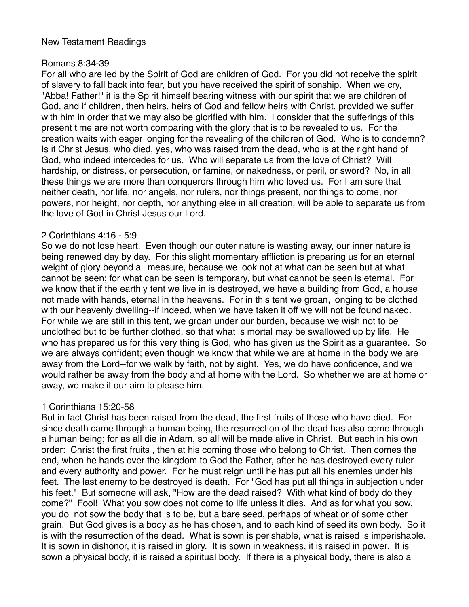# New Testament Readings

# Romans 8:34-39

For all who are led by the Spirit of God are children of God. For you did not receive the spirit of slavery to fall back into fear, but you have received the spirit of sonship. When we cry, "Abba! Father!" it is the Spirit himself bearing witness with our spirit that we are children of God, and if children, then heirs, heirs of God and fellow heirs with Christ, provided we suffer with him in order that we may also be glorified with him. I consider that the sufferings of this present time are not worth comparing with the glory that is to be revealed to us. For the creation waits with eager longing for the revealing of the children of God. Who is to condemn? Is it Christ Jesus, who died, yes, who was raised from the dead, who is at the right hand of God, who indeed intercedes for us. Who will separate us from the love of Christ? Will hardship, or distress, or persecution, or famine, or nakedness, or peril, or sword? No, in all these things we are more than conquerors through him who loved us. For I am sure that neither death, nor life, nor angels, nor rulers, nor things present, nor things to come, nor powers, nor height, nor depth, nor anything else in all creation, will be able to separate us from the love of God in Christ Jesus our Lord.

### 2 Corinthians 4:16 - 5:9

So we do not lose heart. Even though our outer nature is wasting away, our inner nature is being renewed day by day. For this slight momentary affliction is preparing us for an eternal weight of glory beyond all measure, because we look not at what can be seen but at what cannot be seen; for what can be seen is temporary, but what cannot be seen is eternal. For we know that if the earthly tent we live in is destroyed, we have a building from God, a house not made with hands, eternal in the heavens. For in this tent we groan, longing to be clothed with our heavenly dwelling--if indeed, when we have taken it off we will not be found naked. For while we are still in this tent, we groan under our burden, because we wish not to be unclothed but to be further clothed, so that what is mortal may be swallowed up by life. He who has prepared us for this very thing is God, who has given us the Spirit as a guarantee. So we are always confident; even though we know that while we are at home in the body we are away from the Lord--for we walk by faith, not by sight. Yes, we do have confidence, and we would rather be away from the body and at home with the Lord. So whether we are at home or away, we make it our aim to please him.

# 1 Corinthians 15:20-58

But in fact Christ has been raised from the dead, the first fruits of those who have died. For since death came through a human being, the resurrection of the dead has also come through a human being; for as all die in Adam, so all will be made alive in Christ. But each in his own order: Christ the first fruits , then at his coming those who belong to Christ. Then comes the end, when he hands over the kingdom to God the Father, after he has destroyed every ruler and every authority and power. For he must reign until he has put all his enemies under his feet. The last enemy to be destroyed is death. For "God has put all things in subjection under his feet." But someone will ask, "How are the dead raised? With what kind of body do they come?" Fool! What you sow does not come to life unless it dies. And as for what you sow, you do not sow the body that is to be, but a bare seed, perhaps of wheat or of some other grain. But God gives is a body as he has chosen, and to each kind of seed its own body. So it is with the resurrection of the dead. What is sown is perishable, what is raised is imperishable. It is sown in dishonor, it is raised in glory. It is sown in weakness, it is raised in power. It is sown a physical body, it is raised a spiritual body. If there is a physical body, there is also a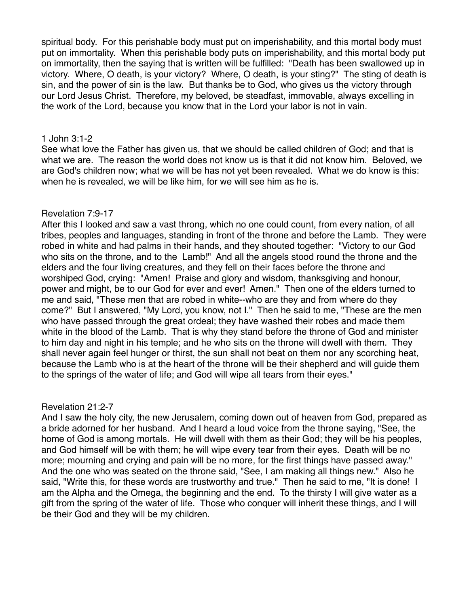spiritual body. For this perishable body must put on imperishability, and this mortal body must put on immortality. When this perishable body puts on imperishability, and this mortal body put on immortality, then the saying that is written will be fulfilled: "Death has been swallowed up in victory. Where, O death, is your victory? Where, O death, is your sting?" The sting of death is sin, and the power of sin is the law. But thanks be to God, who gives us the victory through our Lord Jesus Christ. Therefore, my beloved, be steadfast, immovable, always excelling in the work of the Lord, because you know that in the Lord your labor is not in vain.

#### 1 John 3:1-2

See what love the Father has given us, that we should be called children of God; and that is what we are. The reason the world does not know us is that it did not know him. Beloved, we are God's children now; what we will be has not yet been revealed. What we do know is this: when he is revealed, we will be like him, for we will see him as he is.

### Revelation 7:9-17

After this I looked and saw a vast throng, which no one could count, from every nation, of all tribes, peoples and languages, standing in front of the throne and before the Lamb. They were robed in white and had palms in their hands, and they shouted together: "Victory to our God who sits on the throne, and to the Lamb!" And all the angels stood round the throne and the elders and the four living creatures, and they fell on their faces before the throne and worshiped God, crying: "Amen! Praise and glory and wisdom, thanksgiving and honour, power and might, be to our God for ever and ever! Amen." Then one of the elders turned to me and said, "These men that are robed in white--who are they and from where do they come?" But I answered, "My Lord, you know, not I." Then he said to me, "These are the men who have passed through the great ordeal; they have washed their robes and made them white in the blood of the Lamb. That is why they stand before the throne of God and minister to him day and night in his temple; and he who sits on the throne will dwell with them. They shall never again feel hunger or thirst, the sun shall not beat on them nor any scorching heat, because the Lamb who is at the heart of the throne will be their shepherd and will guide them to the springs of the water of life; and God will wipe all tears from their eyes."

### Revelation 21:2-7

And I saw the holy city, the new Jerusalem, coming down out of heaven from God, prepared as a bride adorned for her husband. And I heard a loud voice from the throne saying, "See, the home of God is among mortals. He will dwell with them as their God; they will be his peoples, and God himself will be with them; he will wipe every tear from their eyes. Death will be no more; mourning and crying and pain will be no more, for the first things have passed away." And the one who was seated on the throne said, "See, I am making all things new." Also he said, "Write this, for these words are trustworthy and true." Then he said to me, "It is done! I am the Alpha and the Omega, the beginning and the end. To the thirsty I will give water as a gift from the spring of the water of life. Those who conquer will inherit these things, and I will be their God and they will be my children.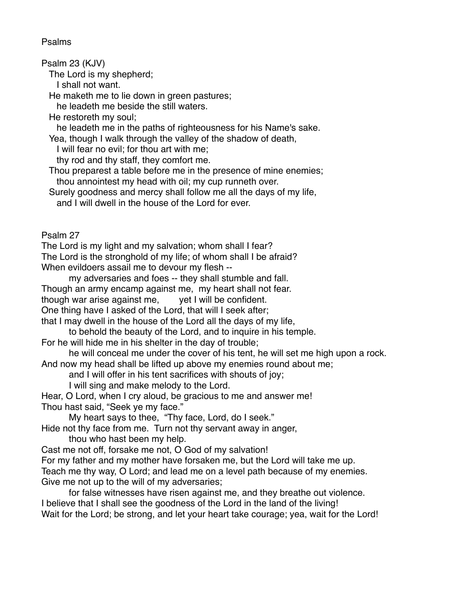# Psalms

Psalm 23 (KJV)

The Lord is my shepherd;

I shall not want.

He maketh me to lie down in green pastures;

he leadeth me beside the still waters.

He restoreth my soul;

he leadeth me in the paths of righteousness for his Name's sake.

Yea, though I walk through the valley of the shadow of death,

I will fear no evil; for thou art with me;

thy rod and thy staff, they comfort me.

 Thou preparest a table before me in the presence of mine enemies; thou annointest my head with oil; my cup runneth over.

 Surely goodness and mercy shall follow me all the days of my life, and I will dwell in the house of the Lord for ever.

Psalm 27

The Lord is my light and my salvation; whom shall I fear? The Lord is the stronghold of my life; of whom shall I be afraid? When evildoers assail me to devour my flesh --

my adversaries and foes -- they shall stumble and fall.

Though an army encamp against me, my heart shall not fear.

though war arise against me, yet I will be confident.

One thing have I asked of the Lord, that will I seek after;

that I may dwell in the house of the Lord all the days of my life,

to behold the beauty of the Lord, and to inquire in his temple.

For he will hide me in his shelter in the day of trouble;

he will conceal me under the cover of his tent, he will set me high upon a rock. And now my head shall be lifted up above my enemies round about me;

and I will offer in his tent sacrifices with shouts of joy;

I will sing and make melody to the Lord.

Hear, O Lord, when I cry aloud, be gracious to me and answer me! Thou hast said, "Seek ye my face."

My heart says to thee, "Thy face, Lord, do I seek."

Hide not thy face from me. Turn not thy servant away in anger,

thou who hast been my help.

Cast me not off, forsake me not, O God of my salvation!

For my father and my mother have forsaken me, but the Lord will take me up.

Teach me thy way, O Lord; and lead me on a level path because of my enemies. Give me not up to the will of my adversaries;

for false witnesses have risen against me, and they breathe out violence. I believe that I shall see the goodness of the Lord in the land of the living! Wait for the Lord; be strong, and let your heart take courage; yea, wait for the Lord!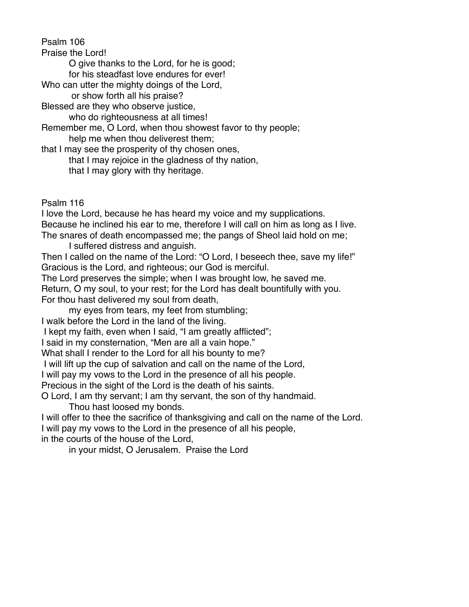Psalm 106

Praise the Lord!

O give thanks to the Lord, for he is good;

for his steadfast love endures for ever!

Who can utter the mighty doings of the Lord,

or show forth all his praise?

Blessed are they who observe justice,

who do righteousness at all times!

Remember me, O Lord, when thou showest favor to thy people; help me when thou deliverest them;

that I may see the prosperity of thy chosen ones,

that I may rejoice in the gladness of thy nation,

that I may glory with thy heritage.

Psalm 116

I love the Lord, because he has heard my voice and my supplications. Because he inclined his ear to me, therefore I will call on him as long as I live. The snares of death encompassed me; the pangs of Sheol laid hold on me;

I suffered distress and anguish.

Then I called on the name of the Lord: "O Lord, I beseech thee, save my life!" Gracious is the Lord, and righteous; our God is merciful.

The Lord preserves the simple; when I was brought low, he saved me.

Return, O my soul, to your rest; for the Lord has dealt bountifully with you. For thou hast delivered my soul from death,

my eyes from tears, my feet from stumbling;

I walk before the Lord in the land of the living.

I kept my faith, even when I said, "I am greatly afflicted";

I said in my consternation, "Men are all a vain hope."

What shall I render to the Lord for all his bounty to me?

I will lift up the cup of salvation and call on the name of the Lord,

I will pay my vows to the Lord in the presence of all his people.

Precious in the sight of the Lord is the death of his saints.

O Lord, I am thy servant; I am thy servant, the son of thy handmaid.

Thou hast loosed my bonds.

I will offer to thee the sacrifice of thanksgiving and call on the name of the Lord. I will pay my vows to the Lord in the presence of all his people, in the courts of the house of the Lord,

in your midst, O Jerusalem. Praise the Lord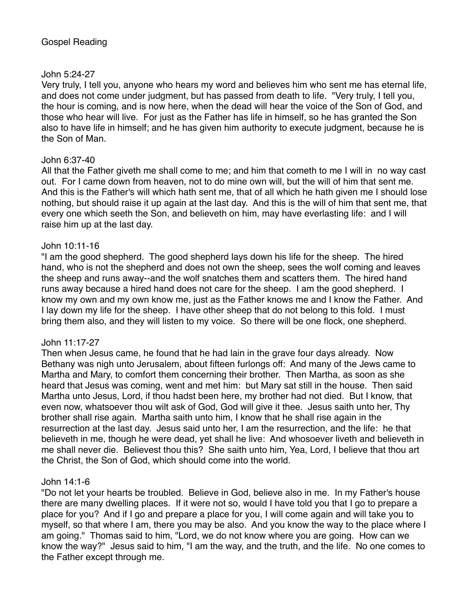#### John 5:24-27

Very truly, I tell you, anyone who hears my word and believes him who sent me has eternal life, and does not come under judgment, but has passed from death to life. "Very truly, I tell you, the hour is coming, and is now here, when the dead will hear the voice of the Son of God, and those who hear will live. For just as the Father has life in himself, so he has granted the Son also to have life in himself; and he has given him authority to execute judgment, because he is the Son of Man.

### John 6:37-40

All that the Father giveth me shall come to me; and him that cometh to me I will in no way cast out. For I came down from heaven, not to do mine own will, but the will of him that sent me. And this is the Father's will which hath sent me, that of all which he hath given me I should lose nothing, but should raise it up again at the last day. And this is the will of him that sent me, that every one which seeth the Son, and believeth on him, may have everlasting life: and I will raise him up at the last day.

#### John 10:11-16

"I am the good shepherd. The good shepherd lays down his life for the sheep. The hired hand, who is not the shepherd and does not own the sheep, sees the wolf coming and leaves the sheep and runs away--and the wolf snatches them and scatters them. The hired hand runs away because a hired hand does not care for the sheep. I am the good shepherd. I know my own and my own know me, just as the Father knows me and I know the Father. And I lay down my life for the sheep. I have other sheep that do not belong to this fold. I must bring them also, and they will listen to my voice. So there will be one flock, one shepherd.

### John 11:17-27

Then when Jesus came, he found that he had lain in the grave four days already. Now Bethany was nigh unto Jerusalem, about fifteen furlongs off: And many of the Jews came to Martha and Mary, to comfort them concerning their brother. Then Martha, as soon as she heard that Jesus was coming, went and met him: but Mary sat still in the house. Then said Martha unto Jesus, Lord, if thou hadst been here, my brother had not died. But I know, that even now, whatsoever thou wilt ask of God, God will give it thee. Jesus saith unto her, Thy brother shall rise again. Martha saith unto him, I know that he shall rise again in the resurrection at the last day. Jesus said unto her, I am the resurrection, and the life: he that believeth in me, though he were dead, yet shall he live: And whosoever liveth and believeth in me shall never die. Believest thou this? She saith unto him, Yea, Lord, I believe that thou art the Christ, the Son of God, which should come into the world.

### John 14:1-6

"Do not let your hearts be troubled. Believe in God, believe also in me. In my Father's house there are many dwelling places. If it were not so, would I have told you that I go to prepare a place for you? And if I go and prepare a place for you, I will come again and will take you to myself, so that where I am, there you may be also. And you know the way to the place where I am going." Thomas said to him, "Lord, we do not know where you are going. How can we know the way?" Jesus said to him, "I am the way, and the truth, and the life. No one comes to the Father except through me.